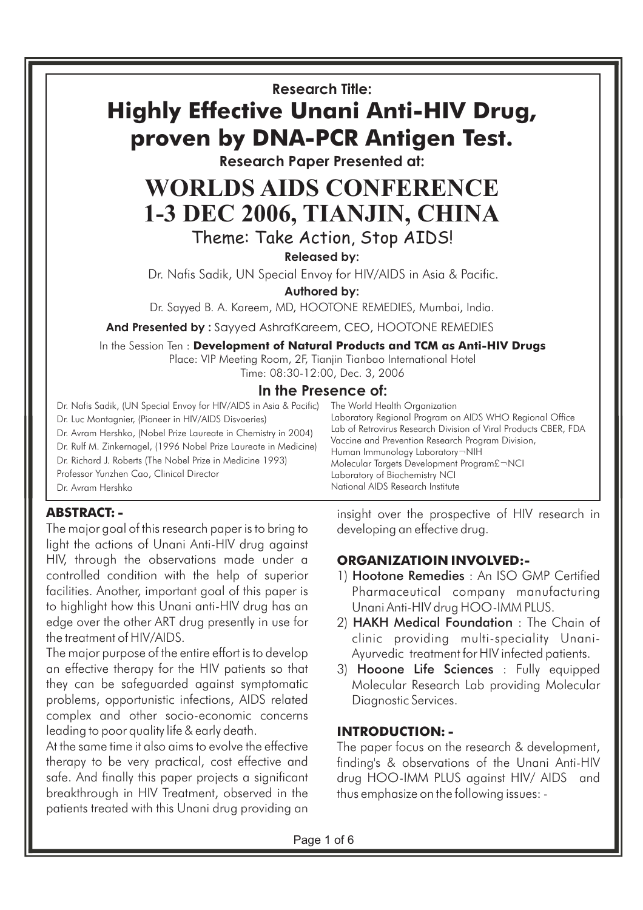**Research Title:**

# **Highly Effective Unani Anti-HIV Drug, proven by DNA-PCR Antigen Test.**

**Research Paper Presented at:**

## **WORLDS AIDS CONFERENCE 1-3 DEC 2006, TIANJIN, CHINA** Theme: Take Action, Stop AIDS!

**Released by:**

Dr. Nafis Sadik, UN Special Envoy for HIV/AIDS in Asia & Pacific.

**Authored by:**

Dr. Sayyed B. A. Kareem, MD, HOOTONE REMEDIES, Mumbai, India.

**And Presented by :** Sayyed AshrafKareem, CEO, HOOTONE REMEDIES

In the Session Ten : **Development of Natural Products and TCM as Anti-HIV Drugs** Place: VIP Meeting Room, 2F, Tianjin Tianbao International Hotel

Time: 08:30-12:00, Dec. 3, 2006

#### **In the Presence of:** The World Health Organization

Dr. Nafis Sadik, (UN Special Envoy for HIV/AIDS in Asia & Pacific) Dr. Luc Montagnier, (Pioneer in HIV/AIDS Disvoeries) Dr. Avram Hershko, (Nobel Prize Laureate in Chemistry in 2004) Dr. Rulf M. Zinkernagel, (1996 Nobel Prize Laureate in Medicine) Dr. Richard J. Roberts (The Nobel Prize in Medicine 1993) Professor Yunzhen Cao, Clinical Director Dr. Avram Hershko

**ABSTRACT: -**

The major goal of this research paper is to bring to light the actions of Unani Anti-HIV drug against HIV, through the observations made under a controlled condition with the help of superior facilities. Another, important goal of this paper is to highlight how this Unani anti-HIV drug has an edge over the other ART drug presently in use for the treatment of HIV/AIDS.

The major purpose of the entire effort is to develop an effective therapy for the HIV patients so that they can be safeguarded against symptomatic problems, opportunistic infections, AIDS related complex and other socio-economic concerns leading to poor quality life & early death.

At the same time it also aims to evolve the effective therapy to be very practical, cost effective and safe. And finally this paper projects a significant breakthrough in HIV Treatment, observed in the patients treated with this Unani drug providing an insight over the prospective of HIV research in developing an effective drug.

Laboratory Regional Program on AIDS WHO Regional Office Lab of Retrovirus Research Division of Viral Products CBER, FDA

## **ORGANIZATIOIN INVOLVED:-**

Vaccine and Prevention Research Program Division,

Molecular Targets Development Program£¬NCI

Human Immunology Laboratory¬NIH

Laboratory of Biochemistry NCI National AIDS Research Institute

- 1) Hootone Remedies : An ISO GMP Certified Pharmaceutical company manufacturing Unani Anti-HIV drug HOO-IMM PLUS.
- 2) HAKH Medical Foundation: The Chain of clinic providing multi-speciality Unani-Ayurvedic treatment for HIV infected patients.
- 3) Hooone Life Sciences : Fully equipped Molecular Research Lab providing Molecular Diagnostic Services.

## **INTRODUCTION: -**

The paper focus on the research & development, finding's & observations of the Unani Anti-HIV drug HOO-IMM PLUS against HIV/ AIDS and thus emphasize on the following issues: -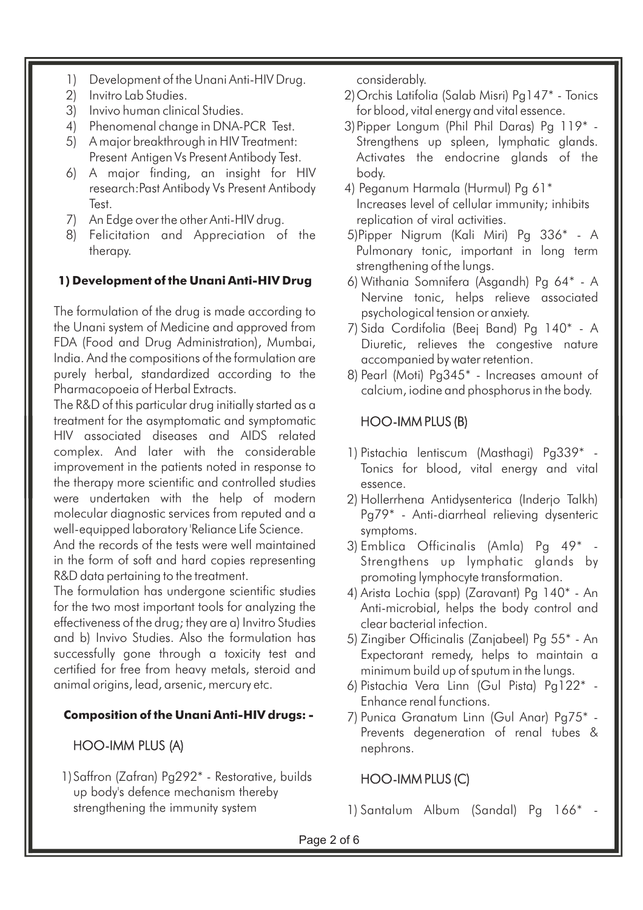- 1) Development of the Unani Anti-HIV Drug.
- 2) Invitro Lab Studies.
- 3) Invivo human clinical Studies.
- 4) Phenomenal change in DNA-PCR Test.
- 5) A major breakthrough in HIV Treatment: Present Antigen Vs Present Antibody Test.
- 6) A major finding, an insight for HIV research:Past Antibody Vs Present Antibody Test.
- 7) An Edge over the other Anti-HIV drug.
- 8) Felicitation and Appreciation of the therapy.

### **1) Development of the Unani Anti-HIV Drug**

The formulation of the drug is made according to the Unani system of Medicine and approved from FDA (Food and Drug Administration), Mumbai, India. And the compositions of the formulation are purely herbal, standardized according to the Pharmacopoeia of Herbal Extracts.

The R&D of this particular drug initially started as a treatment for the asymptomatic and symptomatic HIV associated diseases and AIDS related complex. And later with the considerable improvement in the patients noted in response to the therapy more scientific and controlled studies were undertaken with the help of modern molecular diagnostic services from reputed and a well-equipped laboratory 'Reliance Life Science.

And the records of the tests were well maintained in the form of soft and hard copies representing R&D data pertaining to the treatment.

The formulation has undergone scientific studies for the two most important tools for analyzing the effectiveness of the drug; they are a) Invitro Studies and b) Invivo Studies. Also the formulation has successfully gone through a toxicity test and certified for free from heavy metals, steroid and animal origins, lead, arsenic, mercury etc.

## **Composition of the Unani Anti-HIV drugs: -**

## HOO-IMM PLUS (A)

1)Saffron (Zafran) Pg292\* - Restorative, builds up body's defence mechanism thereby strengthening the immunity system

considerably.

- 2)Orchis Latifolia (Salab Misri) Pg147\* Tonics for blood, vital energy and vital essence.
- 3)Pipper Longum (Phil Phil Daras) Pg 119\* Strengthens up spleen, lymphatic glands. Activates the endocrine glands of the body.
- 4) Peganum Harmala (Hurmul) Pg 61\* Increases level of cellular immunity; inhibits replication of viral activities.
- 5)Pipper Nigrum (Kali Miri) Pg 336\* A Pulmonary tonic, important in long term strengthening of the lungs.
- 6) Withania Somnifera (Asgandh) Pg 64\* A Nervine tonic, helps relieve associated psychological tension or anxiety.
- 7) Sida Cordifolia (Beej Band) Pg 140\* A Diuretic, relieves the congestive nature accompanied by water retention.
- 8) Pearl (Moti) Pg345\* Increases amount of calcium, iodine and phosphorus in the body.

## HOO-IMM PLUS (B)

- 1) Pistachia lentiscum (Masthagi) Pg339\* Tonics for blood, vital energy and vital essence.
- 2) Hollerrhena Antidysenterica (Inderjo Talkh) Pg79\* - Anti-diarrheal relieving dysenteric symptoms.
- 3) Emblica Officinalis (Amla) Pg  $49^*$ Strengthens up lymphatic glands by promoting lymphocyte transformation.
- 4) Arista Lochia (spp) (Zaravant) Pg 140\* An Anti-microbial, helps the body control and clear bacterial infection.
- 5) Zingiber Officinalis (Zanjabeel) Pg 55\* An Expectorant remedy, helps to maintain a minimum build up of sputum in the lungs.
- 6) Pistachia Vera Linn (Gul Pista) Pg122\* Enhance renal functions.
- 7) Punica Granatum Linn (Gul Anar) Pg75\* Prevents degeneration of renal tubes & nephrons.

## HOO-IMM PLUS (C)

1) Santalum Album (Sandal) Pa 166<sup>\*</sup>

Page 2 of 6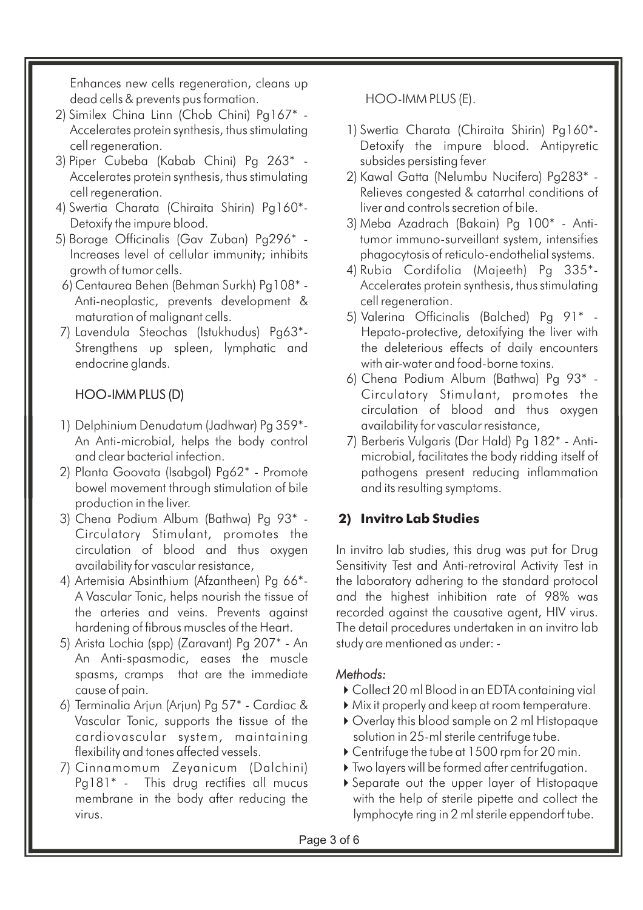Enhances new cells regeneration, cleans up dead cells & prevents pus formation.

- 2) Similex China Linn (Chob Chini) Pg167\* Accelerates protein synthesis, thus stimulating cell regeneration.
- 3) Piper Cubeba (Kabab Chini) Pg 263\* Accelerates protein synthesis, thus stimulating cell regeneration.
- 4) Swertia Charata (Chiraita Shirin) Pg160\*- Detoxify the impure blood.
- Increases level of cellular immunity; inhibits growth of tumor cells. 5) Borage Officinalis (Gav Zuban) Pg296\* -
- Anti-neoplastic, prevents development & maturation of malignant cells. 6) Centaurea Behen (Behman Surkh) Pg108\* -
- Strengthens up spleen, lymphatic and endocrine glands. 7) Lavendula Steochas (Istukhudus) Pg63\*-

## HOO-IMM PLUS (D)

- An Anti-microbial, helps the body control and clear bacterial infection. 1) Delphinium Denudatum (Jadhwar) Pg 359\*-
- 2) Planta Goovata (Isabgol) Pg62\* Promote bowel movement through stimulation of bile production in the liver.
- 3) Chena Podium Album (Bathwa) Pg 93\* Circulatory Stimulant, promotes the circulation of blood and thus oxygen availability for vascular resistance,
- 4) Artemisia Absinthium (Afzantheen) Pg 66\*- A Vascular Tonic, helps nourish the tissue of the arteries and veins. Prevents against hardening of fibrous muscles of the Heart.
- An Anti-spasmodic, eases the muscle spasms, cramps that are the immediate cause of pain. 5) Arista Lochia (spp) (Zaravant) Pg 207\* - An
- 6) Terminalia Arjun (Arjun) Pg 57\* Cardiac & Vascular Tonic, supports the tissue of the cardiovascular system, maintaining flexibility and tones affected vessels.
- 7) Cinnamomum Zeyanicum (Dalchini) Pg181\* - This drug rectifies all mucus membrane in the body after reducing the virus.

HOO-IMM PLUS (E).

- 1) Swertia Charata (Chiraita Shirin) Pg160\*- Detoxify the impure blood. Antipyretic subsides persisting fever
- 2) Kawal Gatta (Nelumbu Nucifera) Pg283\* Relieves congested & catarrhal conditions of liver and controls secretion of bile.
- 3) Meba Azadrach (Bakain) Pg 100\* Antitumor immuno-surveillant system, intensifies phagocytosis of reticulo-endothelial systems.
- 4) Rubia Cordifolia (Majeeth) Pg 335\*- Accelerates protein synthesis, thus stimulating cell regeneration.
- 5) Valerina Officinalis (Balched) Pg 91\* Hepato-protective, detoxifying the liver with the deleterious effects of daily encounters with air-water and food-borne toxins.
- 6) Chena Podium Album (Bathwa) Pg 93\* Circulatory Stimulant, promotes the circulation of blood and thus oxygen availability for vascular resistance,
- 7) Berberis Vulgaris (Dar Hald) Pg 182\* Antimicrobial, facilitates the body ridding itself of pathogens present reducing inflammation and its resulting symptoms.

## **2) Invitro Lab Studies**

In invitro lab studies, this drug was put for Drug Sensitivity Test and Anti-retroviral Activity Test in the laboratory adhering to the standard protocol and the highest inhibition rate of 98% was recorded against the causative agent, HIV virus. The detail procedures undertaken in an invitro lab study are mentioned as under: -

## *Methods:*

- Collect 20 ml Blood in an EDTA containing vial
- Mix it properly and keep at room temperature.
- Overlay this blood sample on 2 ml Histopaque solution in 25-ml sterile centrifuge tube.
- ▶ Centrifuge the tube at 1500 rpm for 20 min.
- Two layers will be formed after centrifugation.
- Separate out the upper layer of Histopaque with the help of sterile pipette and collect the lymphocyte ring in 2 ml sterile eppendorf tube.

Page 3 of 6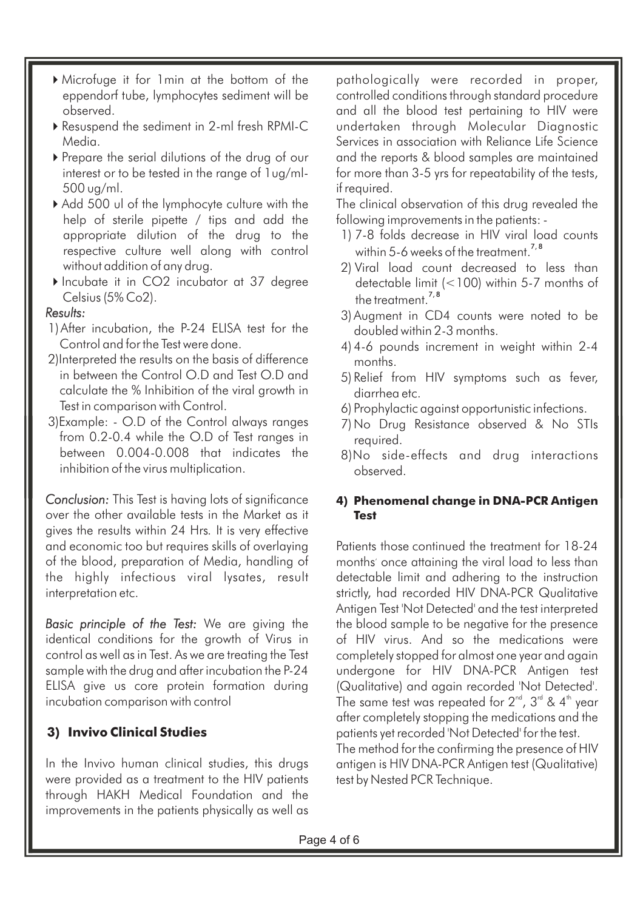- Microfuge it for 1min at the bottom of the eppendorf tube, lymphocytes sediment will be observed.
- Resuspend the sediment in 2-ml fresh RPMI-C Media.
- Prepare the serial dilutions of the drug of our interest or to be tested in the range of 1ug/ml-500 ug/ml.
- Add 500 ul of the lymphocyte culture with the help of sterile pipette / tips and add the appropriate dilution of the drug to the respective culture well along with control without addition of any drug.
- Incubate it in CO2 incubator at 37 degree Celsius (5% Co2).

#### *Results:*

- 1)After incubation, the P-24 ELISA test for the Control and for the Test were done.
- 2)Interpreted the results on the basis of difference in between the Control O.D and Test O.D and calculate the % Inhibition of the viral growth in Test in comparison with Control.
- 3)Example: O.D of the Control always ranges from 0.2-0.4 while the O.D of Test ranges in between 0.004-0.008 that indicates the inhibition of the virus multiplication.

Conclusion: This Test is having lots of significance over the other available tests in the Market as it gives the results within 24 Hrs. It is very effective and economic too but requires skills of overlaying of the blood, preparation of Media, handling of the highly infectious viral lysates, result interpretation etc.

Basic principle of the Test: We are giving the identical conditions for the growth of Virus in control as well as in Test. As we are treating the Test sample with the drug and after incubation the P-24 ELISA give us core protein formation during incubation comparison with control

## **3) Invivo Clinical Studies**

In the Invivo human clinical studies, this drugs were provided as a treatment to the HIV patients through HAKH Medical Foundation and the improvements in the patients physically as well as

pathologically were recorded in proper, controlled conditions through standard procedure and all the blood test pertaining to HIV were undertaken through Molecular Diagnostic Services in association with Reliance Life Science and the reports & blood samples are maintained for more than 3-5 yrs for repeatability of the tests, if required.

The clinical observation of this drug revealed the following improvements in the patients: -

- 1) 7-8 folds decrease in HIV viral load counts within 5-6 weeks of the treatment. $^{7,8}$
- 2) Viral load count decreased to less than detectable limit (<100) within 5-7 months of the treatment.<sup>7,8</sup>
- 3) Augment in CD4 counts were noted to be doubled within 2-3 months.
- 4) 4-6 pounds increment in weight within 2-4 months.
- 5) Relief from HIV symptoms such as fever, diarrhea etc.
- 6) Prophylactic against opportunistic infections.
- 7) No Drug Resistance observed & No STIs required.
- 8)No side-effects and drug interactions observed.

#### **4) Phenomenal change in DNA-PCR Antigen Test**

Patients those continued the treatment for 18-24 months' once attaining the viral load to less than detectable limit and adhering to the instruction strictly, had recorded HIV DNA-PCR Qualitative Antigen Test 'Not Detected' and the test interpreted the blood sample to be negative for the presence of HIV virus. And so the medications were completely stopped for almost one year and again undergone for HIV DNA-PCR Antigen test (Qualitative) and again recorded 'Not Detected'. The same test was repeated for 2 $^{\text{\tiny nd}}$ , 3 $^{\text{\tiny nd}}$  & 4 $^{\text{\tiny th}}$  year after completely stopping the medications and the patients yet recorded 'Not Detected' for the test. The method for the confirming the presence of HIV antigen is HIV DNA-PCR Antigen test (Qualitative) test by Nested PCR Technique.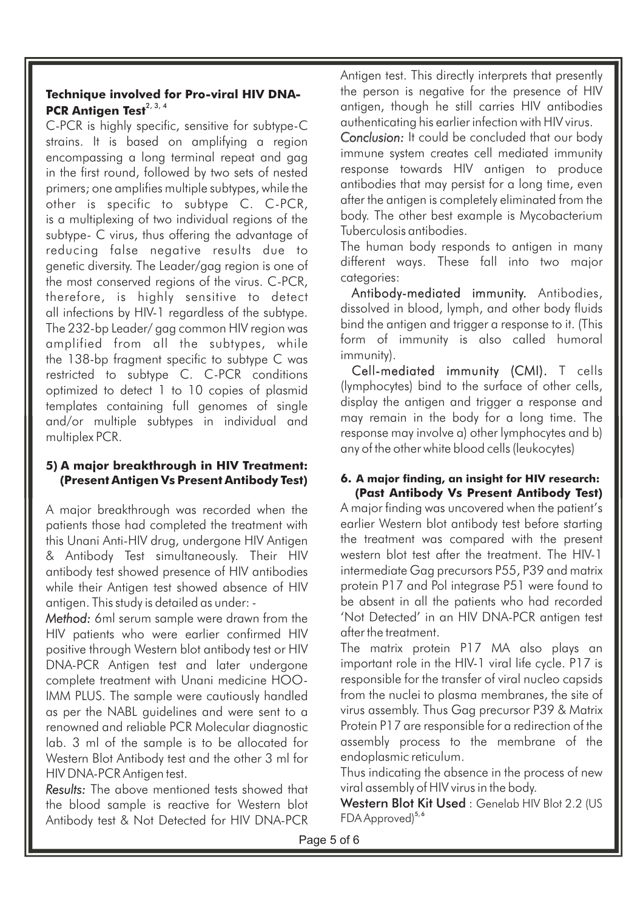#### **Technique involved for Pro-viral HIV DNA-**PCR Antigen Test<sup>2, 3, 4</sup>

C-PCR is highly specific, sensitive for subtype-C strains. It is based on amplifying a region encompassing a long terminal repeat and gag in the first round, followed by two sets of nested primers; one amplifies multiple subtypes, while the other is specific to subtype C. C-PCR, is a multiplexing of two individual regions of the subtype- C virus, thus offering the advantage of reducing false negative results due to genetic diversity. The Leader/gag region is one of the most conserved regions of the virus. C-PCR, therefore, is highly sensitive to detect all infections by HIV-1 regardless of the subtype. The 232-bp Leader/ gag common HIV region was amplified from all the subtypes, while the 138-bp fragment specific to subtype C was restricted to subtype C. C-PCR conditions optimized to detect 1 to 10 copies of plasmid templates containing full genomes of single and/or multiple subtypes in individual and multiplex PCR.

#### **5) A major breakthrough in HIV Treatment: (Present Antigen Vs Present Antibody Test)**

A major breakthrough was recorded when the patients those had completed the treatment with this Unani Anti-HIV drug, undergone HIV Antigen & Antibody Test simultaneously. Their HIV antibody test showed presence of HIV antibodies while their Antigen test showed absence of HIV antigen. This study is detailed as under: -

Method: 6ml serum sample were drawn from the HIV patients who were earlier confirmed HIV positive through Western blot antibody test or HIV DNA-PCR Antigen test and later undergone complete treatment with Unani medicine HOO-IMM PLUS. The sample were cautiously handled as per the NABL guidelines and were sent to a renowned and reliable PCR Molecular diagnostic lab. 3 ml of the sample is to be allocated for Western Blot Antibody test and the other 3 ml for HIV DNA-PCR Antigen test.

*Results:* The above mentioned tests showed that the blood sample is reactive for Western blot Antibody test & Not Detected for HIV DNA-PCR Antigen test. This directly interprets that presently the person is negative for the presence of HIV antigen, though he still carries HIV antibodies authenticating his earlier infection with HIV virus.

response towards HIV antigen to produce *Conclusion:* It could be concluded that our body immune system creates cell mediated immunity antibodies that may persist for a long time, even after the antigen is completely eliminated from the body. The other best example is Mycobacterium Tuberculosis antibodies.

The human body responds to antigen in many different ways. These fall into two major categories:

Antibody-mediated immunity. Antibodies, dissolved in blood, lymph, and other body fluids bind the antigen and trigger a response to it. (This form of immunity is also called humoral immunity).

Cell-mediated immunity (CMI). T cells (lymphocytes) bind to the surface of other cells, display the antigen and trigger a response and may remain in the body for a long time. The response may involve a) other lymphocytes and b) any of the other white blood cells (leukocytes)

#### **6. A major finding, an insight for HIV research: (Past Antibody Vs Present Antibody Test)**

A major finding was uncovered when the patient's earlier Western blot antibody test before starting the treatment was compared with the present western blot test after the treatment. The HIV-1 intermediate Gag precursors P55, P39 and matrix protein P17 and Pol integrase P51 were found to be absent in all the patients who had recorded 'Not Detected' in an HIV DNA-PCR antigen test after the treatment.

The matrix protein P17 MA also plays an important role in the HIV-1 viral life cycle. P17 is responsible for the transfer of viral nucleo capsids from the nuclei to plasma membranes, the site of virus assembly. Thus Gag precursor P39 & Matrix Protein P17 are responsible for a redirection of the assembly process to the membrane of the endoplasmic reticulum.

Thus indicating the absence in the process of new viral assembly of HIV virus in the body.

Western Blot Kit Used : Genelab HIV Blot 2.2 (US FDA Approved)<sup>5,6</sup>